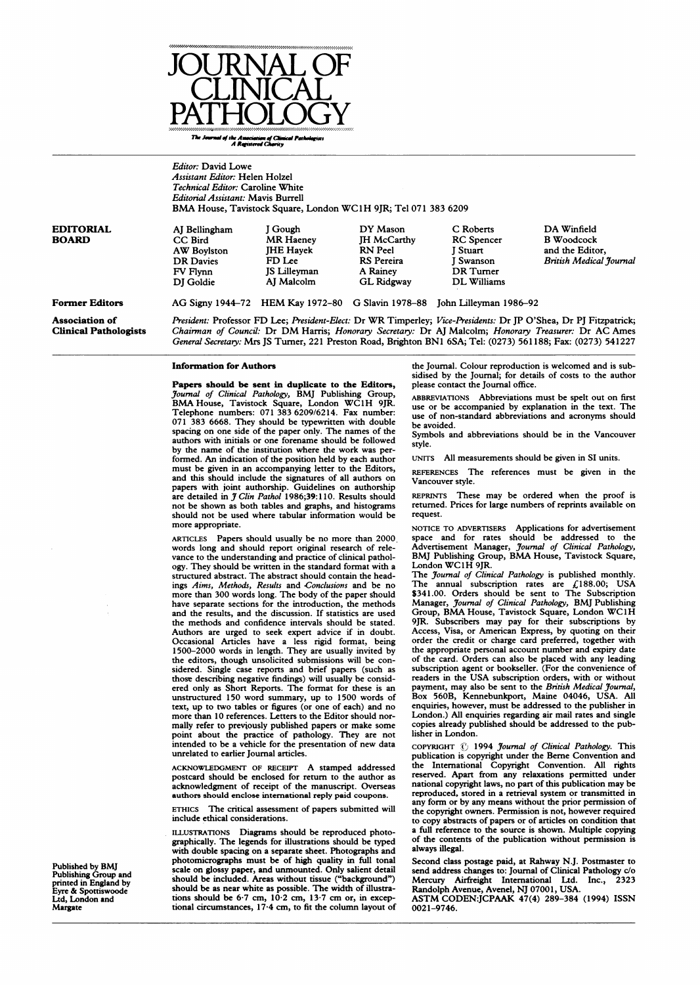

The Journal of the Americation of Clinical Pathologists A **valuesed com**aty

Editor: David Lowe Assistant Editor: Helen Holzel Technical Editor: Caroline White Editorial Assistant: Mavis Burrell BMA House, Tavistock Square, London WC1H 9JR; Tel <sup>071</sup> <sup>383</sup> <sup>6209</sup> DA Winfield B Woodcock and the Editor, British Medical Journal Former Editors Association of Clinical Pathologists AG Signy 1944-72 HEM Kay 1972-80 G Slavin 1978-88 John Lilleyman 1986-92 President: Professor FD Lee; President-Elect: Dr WR Timperley; Vice-Presidents: Dr JP O'Shea, Dr PJ Fitzpatrick; Chairman of Council: Dr DM Harris; Honorary Secretary: Dr AJ Malcolm; Honorary Treasurer: Dr AC Ames General Secretary: Mrs JS Turner, 221 Preston Road, Brighton BN1 6SA; Tel: (0273) 561188; Fax: (0273) 541227 EDITORIAL BOARD AJ Bellingham CC Bird AW Boylston DR Davies FV Flynn DJ Goldie <sup>J</sup> Gough MR Haeney JHE Hayek FD Lee JS Lilleyman AJ Malcolm DY Mason JH McCarthy RN Peel RS Pereira A Rainey GL Ridgway C Roberts RC Spencer J Stuart <sup>J</sup> Swanson DR Turner DL Williams

#### Information for Authors

Papers should be sent in duplicate to the Editors, Journal of Clinical Pathology, BMJ Publishing Group, BMA House, Tavistock Square, London WC<sup>1</sup> H 9JR. Telephone numbers: 071 383 6209/6214. Fax number: 071 383 6668. They should be typewritten with double spacing on one side of the paper only. The names of the authors with initials or one forename should be followed by the name of the institution where the work was performed. An indication of the position held by each author must be given in an accompanying letter to the Editors, and this should include the signatures of all authors on papers with joint authorship. Guidelines on authorship<br>are detailed in *J Clin Pathol* 1986;39:110. Results should not be shown as both tables and graphs, and histograms should not be used where tabular information would be more appropriate.

ARTICLES Papers should usually be no more than 2000. words long and should report original research of relevance to the understanding and practice of clinical pathology. They should be written in the standard format with a structured abstract. The abstract should contain the headings Aims, Methods, Results and Conclusions and be no more than 300 words long. The body of the paper should have separate sections for the introduction, the methods and the results, and the discussion. If statistics are used the methods and confidence intervals should be stated. Authors are urged to seek expert advice if in doubt. Occasional Articles have a less rigid format, being 1500-2000 words in length. They are usually invited by the editors, though unsolicited submissions will be considered. Single case reports and brief papers (such as those describing negative findings) will usually be consid-ered only as Short Reports. The format for these is an unstructured 150 word summary, up to 1500 words of text, up to two tables or figures (or one of each) and no more than 10 references. Letters to the Editor should normally refer to previously published papers or make some point about the practice of pathology. They are not intended to be a vehicle for the presentation of new data unrelated to earlier Journal articles.

ACKNOWLEDGMENT OF RECEIPT A stamped addressed postcard should be enclosed for return to the author as acknowledgment of receipt of the manuscript. Overseas authors should enclose international reply paid coupons.

ETHICS The critical assessment of papers submitted will include ethical considerations.

ILLUSTRATIONS Diagrams should be reproduced photographically. The legends for illustrations should be typed with double spacing on a separate sheet. Photographs and photomicrographs must be of high quality in full tonal scale on glossy paper, and unmounted. Only salient detail should be included. Areas without tissue ("background") should be as near white as possible. The width of illustra-tions should be 6-7 cm, 10-2 cm, 13-7 cm or, in exceptional circumstances, 17-4 cm, to fit the column layout of

the Journal. Colour reproduction is welcomed and is subsidised by the Journal; for details of costs to the author please contact the Journal office.

ABBREVIATIONs Abbreviations must be spelt out on first use or be accompanied by explanation in the text. The use of non-standard abbreviations and acronyms should be avoided.

Symbols and abbreviations should be in the Vancouver style.

uNrrs All measurements should be given in SI units.

REFERENCES The references must be given in the Vancouver style.

REPRINTS These may be ordered when the proof is returned. Prices for large numbers of reprints available on request.

NOTICE TO ADVERTISERS Applications for advertisement space and for rates should be addressed to the Advertisement Manager, *Journal of Clinical Pathology*,<br>BMJ Publishing Group, BMA House, Tavistock Square, London WC1H 9JR.

The Journal of Clinical Pathology is published monthly. The annual subscription rates are  $\sqrt{188.00}$ ; USA<br>\$341.00. Orders should be sent to The Subscription<br>Manager, Journal of Clinical Pathology, BMJ Publishing<br>Group, BMA House, Tavistock Square, London WC1H<br>9JR. Subscriber Access, Visa, or American Express, by quoting on their order the credit or charge card preferred, together with the appropriate personal account number and expiry date of the card. Orders can also be placed with any leading subscription agent or bookseller. (For the convenience of readers in the USA subscription orders, with or without payment, may also be sent to the British Medical Journal, Box 560B, Kennebunkport, Maine 04046, USA. All enquiries, however, must be addressed to the publisher in London.) All enquiries regarding air mail rates and single copies already published should be addressed to the publisher in London.

COPYRIGHT  $\odot$  1994 Journal of Clinical Pathology. This publication is copyright under the Berne Convention and the International Copyright Convention. All rights reserved. Apart from any relaxations permitted under national copyright laws, no part of this publication may be reproduced, stored in a retrieval system or transmitted in any form or by any means without the prior permission of the copyright owners. Permission is not, however required to copy abstracts of papers or of articles on condition that a full reference to the source is shown. Multiple copying of the contents of the publication without permission is always illegal.

Second class postage paid, at Rahway N.J. Postmaster to send address changes to: Journal of Clinical Pathology c/o<br>Mercury Airfreight International I.1d. Inc., 2323 Mercury Airfreight International Ltd. Inc., Randolph Avenue, Avenel, NJ 07001, USA.

ASTM CODEN:JCPAAK 47(4) 289-384 (1994) ISSN 0021-9746.

Published by BMJ Publishing Group and printed in England by Eyre & Spottiswoode Ltd, London and Margate